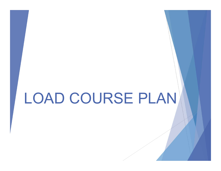## LOAD COURSE PLAN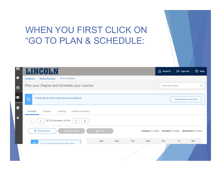### WHEN YOU FIRST CLICK ON "GO TO PLAN & SCHEDULE:

|                                                | LINGO<br>JLN                                                                                                                                   | <b>A</b> Itest415  | $\leftrightarrow$ Sign out     | <b>2</b> Help |
|------------------------------------------------|------------------------------------------------------------------------------------------------------------------------------------------------|--------------------|--------------------------------|---------------|
| $\blacktriangle$                               | Plan & Schedule<br>Academics<br>Student Planning                                                                                               |                    |                                |               |
| 孟                                              | Plan your Degree and Schedule your courses                                                                                                     | Search for courses |                                | Q             |
| <b>Z</b>                                       | It looks like you don't have any courses planned.<br>$\odot$                                                                                   |                    | <b>Load Sample Course Plan</b> |               |
| $\stackrel{\scriptscriptstyle\mathsf{S}}{=}\,$ | Schedule<br>Timeline<br>Advising<br>Petitions & Waivers                                                                                        |                    |                                |               |
| $\circ$                                        | SP 20 Semester 16 Wk<br>$+$                                                                                                                    |                    |                                |               |
|                                                | Save to iCal<br><b>了 Filter Sections</b><br><b>B</b> Print<br><b>Planned: 0 Credits</b><br><b>Enrolled: 0 Credits</b><br>Waitlisted: 0 Credits |                    |                                |               |
|                                                | Sun<br>Mon<br>Tue<br>Wed<br>ᢛ<br>No Courses Selected For This Term                                                                             | Thu                | Fri                            | Sat           |
|                                                |                                                                                                                                                |                    |                                |               |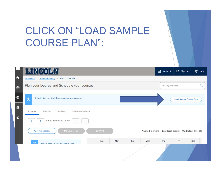### CLICK ON "LOAD SAMPLE COURSE PLAN":

|                       | <b>LINGOLN</b>                                                                          | <b>A</b> Itest415          | $\leftrightarrow$ Sign out     | <b>2</b> Help |
|-----------------------|-----------------------------------------------------------------------------------------|----------------------------|--------------------------------|---------------|
| 合                     | <b>Student Planning</b><br>Plan & Schedule<br>Academics .<br>$\sim 10^{-1}$             |                            |                                |               |
| 金                     | Plan your Degree and Schedule your courses                                              | Search for courses         |                                | Q             |
| Z                     | It looks like you don't have any courses planned.<br>$\odot$                            |                            | <b>Load Sample Course Plan</b> |               |
| $\stackrel{\circ}{=}$ | Schedule<br>Timeline<br>Advising<br>Petitions & Waivers                                 |                            |                                |               |
| $\circledcirc$        | SP 20 Semester 16 Wk<br>$+$                                                             |                            |                                |               |
|                       | Save to iCal<br><b>T</b> Filter Sections<br><b>A</b> Print<br><b>Planned: 0 Credits</b> | <b>Enrolled: 0 Credits</b> | Waitlisted: 0 Credits          |               |
|                       | Sun<br>Mon<br>Tue<br>Wed<br>☞<br>No Courses Selected For This Term                      | Thu                        | Fri                            | Sat           |
|                       |                                                                                         |                            |                                |               |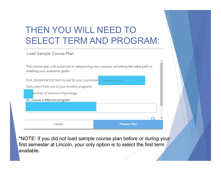### THEN YOU WILL NEED TO SELECT TERM AND PROGRAM:

Load Sample Course Plan

The course plan will assist you in sequencing your courses, providing the ideal path in meeting your academic goals.

First, choose the first term to use for your course plan: Next, select from one of your enrolled programs:

Select a term...

**Preview Plan** 

Bachelor of Science in Psychology

Cancel

Or, choose a different program:

\*NOTE: If you did not load sample course plan before or during your first semester at Lincoln, your only option is to select the first term available.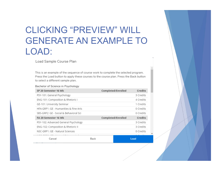### CLICKING "PREVIEW" WILL GENERATE AN EXAMPLE TO LOAD:

Load Sample Course Plan

This is an example of the sequence of course work to complete the selected program. Press the Load button to apply these courses to the course plan. Press the Back button to select a different sample plan.

Bachelor of Science in Psychology

| SP 20 Semester 16 Wk                   | Completed/Enrolled | Credits   |
|----------------------------------------|--------------------|-----------|
| PSY-101: General Psychology            |                    | 3 Credits |
| ENG-101: Composition & Rhetoric I      |                    | 4 Credits |
| GE-101: University Seminar             |                    | 1 Credits |
| HFA-GRP1: GE - Humanities & Fine Arts  |                    | 0 Credits |
| SBS-GRP2: GE - Social & Behavioral Sci |                    | 0 Credits |
| FA 20 Semester 16 Wk                   | Completed/Enrolled | Credits   |
| PSY-102: Advanced General Psychology   |                    | 3 Credits |
| ENG-102: Composition & Rhetoric II     |                    | 3 Credits |
| NSC-GRP1: GE - Natural Sciences        |                    | 0 Credits |
| Cancel                                 | Back               | Load      |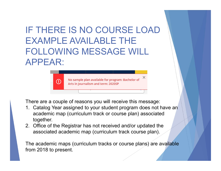# IF THERE IS NO COURSE LOAD EXAMPLE AVAILABLE THE FOLLOWING MESSAGE WILL APPEAR: EXAMPLE AVAILABLE THE<br>
FOLLOWING MESSAGE WILL<br>
APPEAR:<br>
<br>
<br>
<br>
<br>
There are a couple of reasons you will receive this message:<br>
1. Catalog Year assigned to your student program does not have an<br>
academic map (curriculum trac

There are a couple of reasons you will receive this message:

- academic map (curriculum track or course plan) associated together. **EXECUT ANTIFUL CONTRANT AND AND AND AND ASSESS ARE CONTROLL AND CONTROLL AND A Arts in Journalism and term: 20205P**<br>
There are a couple of reasons you will receive this message:<br>
1. Catalog Year assigned to your student p
- associated academic map (curriculum track course plan).

The academic maps (curriculum tracks or course plans) are available from 2018 to present.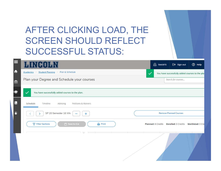### AFTER CLICKING LOAD, THE SCREEN SHOULD REFLECT SUCCESSFUL STATUS:

| $\equiv$         | <b>LINGOLN</b>                                                   | <b>A</b> Itest415             | $\leftrightarrow$ Sign out                     | <b>2</b> Help     |
|------------------|------------------------------------------------------------------|-------------------------------|------------------------------------------------|-------------------|
| $\blacktriangle$ | Student Planning Plan & Schedule<br>Academics<br>$\sim 0.1$      | $\checkmark$                  | You have successfully added courses to the pla |                   |
| $\triangleq$     | Plan your Degree and Schedule your courses                       |                               | Search for courses                             |                   |
| Ø                | $\checkmark$<br>You have successfully added courses to the plan. |                               |                                                |                   |
| $\equiv$         | Schedule<br>Timeline<br>Petitions & Waivers<br>Advising          |                               |                                                |                   |
| $\circledcirc$   | SP 20 Semester 16 Wk<br>$+$                                      | <b>Remove Planned Courses</b> |                                                |                   |
|                  | Save to iCal<br><b>7</b> Filter Sections<br><b>A</b> Print       | <b>Planned: 8 Credits</b>     | <b>Enrolled: 0 Credits</b>                     | Waitlisted: 0 Cre |
|                  | <b>The Contract of Contract</b>                                  |                               |                                                |                   |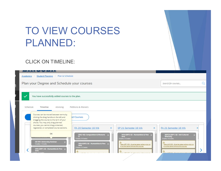### TO VIEW COURSES PLANNED:

#### CLICK ON TIMELINE:

| للمصاكات الامماض                                                                                                                                                                                                                                                                                           |                                                                                                                |  |
|------------------------------------------------------------------------------------------------------------------------------------------------------------------------------------------------------------------------------------------------------------------------------------------------------------|----------------------------------------------------------------------------------------------------------------|--|
| Plan & Schedule<br><b>Student Planning</b><br>Academics                                                                                                                                                                                                                                                    |                                                                                                                |  |
| Plan your Degree and Schedule your courses                                                                                                                                                                                                                                                                 | Search for courses                                                                                             |  |
| You have successfully added courses to the plan.                                                                                                                                                                                                                                                           |                                                                                                                |  |
| Schedule<br>Timeline<br>Advising<br>Petitions & Waivers                                                                                                                                                                                                                                                    |                                                                                                                |  |
| Courses can be moved between terms by<br>ed Courses<br>clicking the drag handle on the left and<br>dragging the course to the term of your<br>choice. You may only drag planned<br>courses; you cannot drag protected,                                                                                     |                                                                                                                |  |
| SP 21 Semester 16 Wk<br>registered, or completed course sections.<br>FA 20 Semester 16 Wk<br>$\times$<br>$\boldsymbol{\mathsf{x}}$<br>OK<br><b>ENG-102: Composition &amp; Rhetoric</b><br>HFA-GRP3: GE - Humanities & Fine ><br><b>Arts</b><br>Credits: 3 Credits<br><b>Credits: 0 Credits</b>             | FA 21 Semester 16 Wk<br><b>INTCD-GRP1: GE - Intl Cultural</b><br><b>Diversity</b><br><b>Credits: 0 Credits</b> |  |
| <b>GE-101: University Seminar</b><br>HFA-GRP2: GE - Humanities & Fine $\times$<br><b>Credits: 1 Credits</b><br>Take ART-100 - Must be taken either prior to<br><b>Arts</b><br>or at the same time as this course.<br>Credits: 0 Credits<br><b>HFA-GRP1: GE - Humanities &amp; Fine</b><br><b>Arts</b><br>⚠ | Take AAS-200 - Must be taken either prior to<br>or at the same time as this course.                            |  |
|                                                                                                                                                                                                                                                                                                            | Take ANT 344 Miss be taken sidens                                                                              |  |